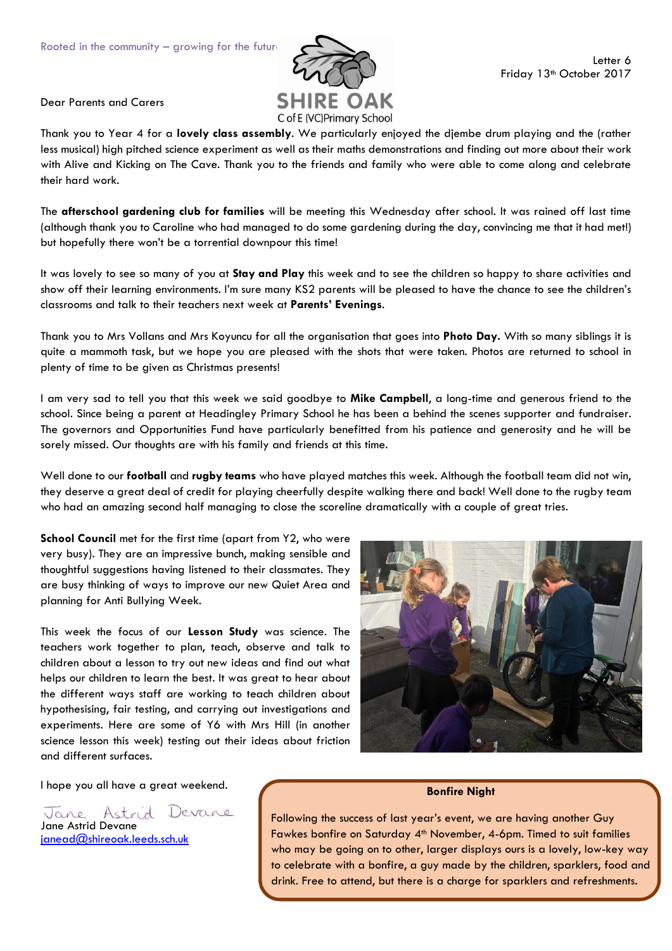

Dear Parents and Carers

Thank you to Year 4 for a **lovely class assembly**. We particularly enjoyed the djembe drum playing and the (rather less musical) high pitched science experiment as well as their maths demonstrations and finding out more about their work with Alive and Kicking on The Cave. Thank you to the friends and family who were able to come along and celebrate their hard work.

The **afterschool gardening club for families** will be meeting this Wednesday after school. It was rained off last time (although thank you to Caroline who had managed to do some gardening during the day, convincing me that it had met!) but hopefully there won't be a torrential downpour this time!

It was lovely to see so many of you at **Stay and Play** this week and to see the children so happy to share activities and show off their learning environments. I'm sure many KS2 parents will be pleased to have the chance to see the children's classrooms and talk to their teachers next week at **Parents' Evenings**.

Thank you to Mrs Vollans and Mrs Koyuncu for all the organisation that goes into **Photo Day.** With so many siblings it is quite a mammoth task, but we hope you are pleased with the shots that were taken. Photos are returned to school in plenty of time to be given as Christmas presents!

I am very sad to tell you that this week we said goodbye to **Mike Campbell**, a long-time and generous friend to the school. Since being a parent at Headingley Primary School he has been a behind the scenes supporter and fundraiser. The governors and Opportunities Fund have particularly benefitted from his patience and generosity and he will be sorely missed. Our thoughts are with his family and friends at this time.

Well done to our **football** and **rugby teams** who have played matches this week. Although the football team did not win, they deserve a great deal of credit for playing cheerfully despite walking there and back! Well done to the rugby team who had an amazing second half managing to close the scoreline dramatically with a couple of great tries.

**School Council** met for the first time (apart from Y2, who were very busy). They are an impressive bunch, making sensible and thoughtful suggestions having listened to their classmates. They are busy thinking of ways to improve our new Quiet Area and planning for Anti Bullying Week.

This week the focus of our **Lesson Study** was science. The teachers work together to plan, teach, observe and talk to children about a lesson to try out new ideas and find out what helps our children to learn the best. It was great to hear about the different ways staff are working to teach children about hypothesising, fair testing, and carrying out investigations and experiments. Here are some of Y6 with Mrs Hill (in another science lesson this week) testing out their ideas about friction and different surfaces.



I hope you all have a great weekend.

Astrid Devano Jane Jane Astrid Devane [janead@shireoak.leeds.sch.uk](mailto:janead@shireoak.leeds.sch.uk)

## **Bonfire Night**

Following the success of last year's event, we are having another Guy Fawkes bonfire on Saturday 4<sup>th</sup> November, 4-6pm. Timed to suit families who may be going on to other, larger displays ours is a lovely, low-key way to celebrate with a bonfire, a guy made by the children, sparklers, food and drink. Free to attend, but there is a charge for sparklers and refreshments.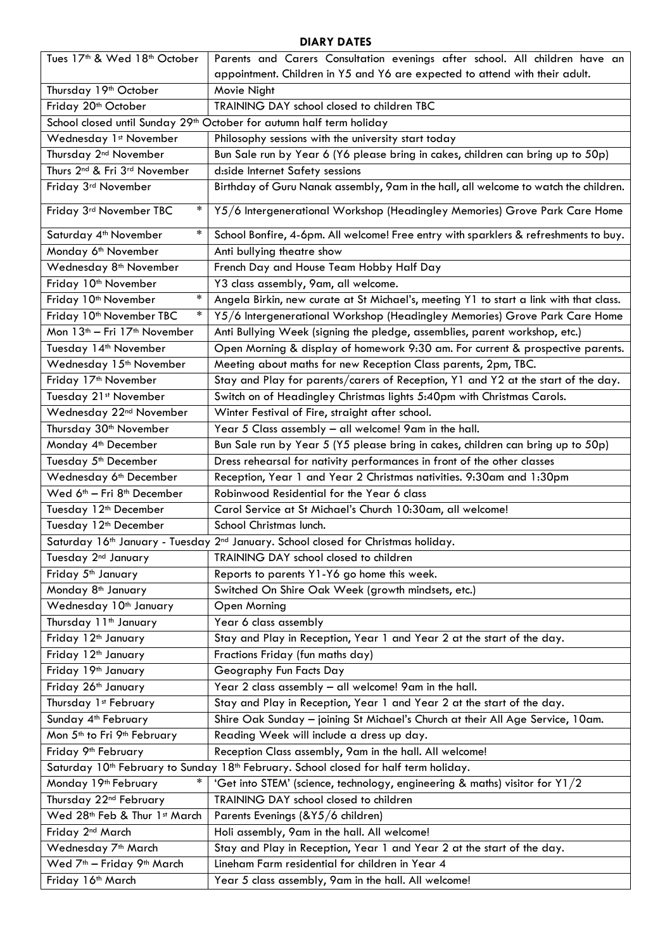## **DIARY DATES**

| Tues 17 <sup>th</sup> & Wed 18 <sup>th</sup> October                                                      | Parents and Carers Consultation evenings after school. All children have an                                  |
|-----------------------------------------------------------------------------------------------------------|--------------------------------------------------------------------------------------------------------------|
|                                                                                                           | appointment. Children in Y5 and Y6 are expected to attend with their adult.                                  |
| Thursday 19 <sup>th</sup> October                                                                         | Movie Night                                                                                                  |
| Friday 20 <sup>th</sup> October                                                                           | TRAINING DAY school closed to children TBC                                                                   |
|                                                                                                           | School closed until Sunday 29 <sup>th</sup> October for autumn half term holiday                             |
| Wednesday 1st November                                                                                    | Philosophy sessions with the university start today                                                          |
| Thursday 2 <sup>nd</sup> November                                                                         | Bun Sale run by Year 6 (Y6 please bring in cakes, children can bring up to 50p)                              |
| Thurs 2 <sup>nd</sup> & Fri 3 <sup>rd</sup> November                                                      | d:side Internet Safety sessions                                                                              |
| Friday 3rd November                                                                                       | Birthday of Guru Nanak assembly, 9am in the hall, all welcome to watch the children.                         |
| Friday 3rd November TBC<br>$\ast$                                                                         | Y5/6 Intergenerational Workshop (Headingley Memories) Grove Park Care Home                                   |
| ∗<br>Saturday 4 <sup>th</sup> November                                                                    | School Bonfire, 4-6pm. All welcome! Free entry with sparklers & refreshments to buy.                         |
| Monday 6 <sup>th</sup> November                                                                           | Anti bullying theatre show                                                                                   |
| Wednesday 8 <sup>th</sup> November                                                                        | French Day and House Team Hobby Half Day                                                                     |
| Friday 10 <sup>th</sup> November                                                                          | Y3 class assembly, 9am, all welcome.                                                                         |
| ∗<br>Friday 10 <sup>th</sup> November                                                                     | Angela Birkin, new curate at St Michael's, meeting Y1 to start a link with that class.                       |
| $\ast$<br>Friday 10 <sup>th</sup> November TBC                                                            | Y5/6 Intergenerational Workshop (Headingley Memories) Grove Park Care Home                                   |
| Mon 13 <sup>th</sup> - Fri 17 <sup>th</sup> November                                                      | Anti Bullying Week (signing the pledge, assemblies, parent workshop, etc.)                                   |
| Tuesday 14 <sup>th</sup> November                                                                         | Open Morning & display of homework 9:30 am. For current & prospective parents.                               |
| Wednesday 15 <sup>th</sup> November                                                                       | Meeting about maths for new Reception Class parents, 2pm, TBC.                                               |
| Friday 17 <sup>th</sup> November                                                                          | Stay and Play for parents/carers of Reception, Y1 and Y2 at the start of the day.                            |
| Tuesday 21st November                                                                                     | Switch on of Headingley Christmas lights 5:40pm with Christmas Carols.                                       |
| Wednesday 22 <sup>nd</sup> November                                                                       | Winter Festival of Fire, straight after school.                                                              |
| Thursday 30 <sup>th</sup> November                                                                        | Year 5 Class assembly - all welcome! 9am in the hall.                                                        |
| Monday 4 <sup>th</sup> December                                                                           | Bun Sale run by Year 5 (Y5 please bring in cakes, children can bring up to 50p)                              |
| Tuesday 5 <sup>th</sup> December                                                                          | Dress rehearsal for nativity performances in front of the other classes                                      |
| Wednesday 6 <sup>th</sup> December                                                                        | Reception, Year 1 and Year 2 Christmas nativities. 9:30am and 1:30pm                                         |
| Wed 6 <sup>th</sup> - Fri 8 <sup>th</sup> December                                                        | Robinwood Residential for the Year 6 class                                                                   |
| Tuesday 12 <sup>th</sup> December                                                                         | Carol Service at St Michael's Church 10:30am, all welcome!                                                   |
| Tuesday 12 <sup>th</sup> December                                                                         | School Christmas lunch.                                                                                      |
| Saturday 16 <sup>th</sup> January - Tuesday 2 <sup>nd</sup> January. School closed for Christmas holiday. |                                                                                                              |
| Tuesday 2 <sup>nd</sup> January                                                                           | TRAINING DAY school closed to children                                                                       |
| Friday 5 <sup>th</sup> January                                                                            | Reports to parents Y1-Y6 go home this week.                                                                  |
| Monday 8 <sup>th</sup> January                                                                            | Switched On Shire Oak Week (growth mindsets, etc.)                                                           |
| Wednesday 10th January                                                                                    | Open Morning                                                                                                 |
| Thursday 11 <sup>th</sup> January                                                                         | Year 6 class assembly                                                                                        |
| Friday 12 <sup>th</sup> January                                                                           | Stay and Play in Reception, Year 1 and Year 2 at the start of the day.                                       |
| Friday 12 <sup>th</sup> January                                                                           | Fractions Friday (fun maths day)                                                                             |
| Friday 19th January                                                                                       | Geography Fun Facts Day                                                                                      |
| Friday 26th January                                                                                       | Year 2 class assembly - all welcome! 9am in the hall.                                                        |
| Thursday 1st February                                                                                     | Stay and Play in Reception, Year 1 and Year 2 at the start of the day.                                       |
| Sunday 4 <sup>th</sup> February                                                                           | Shire Oak Sunday - joining St Michael's Church at their All Age Service, 10am.                               |
| Mon 5 <sup>th</sup> to Fri 9 <sup>th</sup> February                                                       | Reading Week will include a dress up day.                                                                    |
| Friday 9 <sup>th</sup> February                                                                           | Reception Class assembly, 9am in the hall. All welcome!                                                      |
|                                                                                                           | Saturday 10 <sup>th</sup> February to Sunday 18 <sup>th</sup> February. School closed for half term holiday. |
| Monday 19 <sup>th</sup> February<br>∗                                                                     | 'Get into STEM' (science, technology, engineering & maths) visitor for Y1/2                                  |
| Thursday 22 <sup>nd</sup> February                                                                        | TRAINING DAY school closed to children                                                                       |
| Wed 28th Feb & Thur 1st March                                                                             | Parents Evenings (&Y5/6 children)                                                                            |
| Friday 2 <sup>nd</sup> March                                                                              | Holi assembly, 9am in the hall. All welcome!                                                                 |
| Wednesday 7 <sup>th</sup> March                                                                           | Stay and Play in Reception, Year 1 and Year 2 at the start of the day.                                       |
| Wed 7 <sup>th</sup> - Friday 9 <sup>th</sup> March                                                        | Lineham Farm residential for children in Year 4                                                              |
| Friday 16th March                                                                                         | Year 5 class assembly, 9am in the hall. All welcome!                                                         |
|                                                                                                           |                                                                                                              |